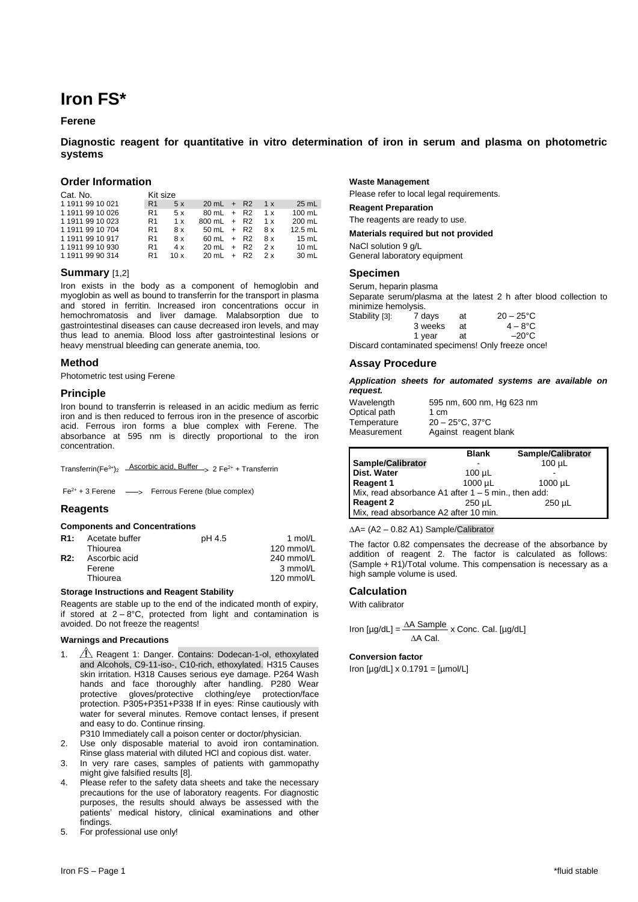# **Iron FS\***

## **Ferene**

# **Diagnostic reagent for quantitative in vitro determination of iron in serum and plasma on photometric systems**

## **Order Information**

| Cat. No. | Kit size |
|----------|----------|
|          |          |

| <b>VAL. IV.</b>  | טשוני שובי     |     |                        |  |     |                 |
|------------------|----------------|-----|------------------------|--|-----|-----------------|
| 119119910021     | R <sub>1</sub> | 5x  | $20 \, \text{mL}$ + R2 |  | 1 x | 25 mL           |
| 1 1911 99 10 026 | R1             | 5 x | $80 \, \text{mL} + R2$ |  | 1 x | 100 mL          |
| 1 1911 99 10 023 | R1             | 1 x | $800 \text{ mL} + R2$  |  | 1 x | $200$ mL        |
| 1 1911 99 10 704 | R1             | 8 x | $50 \, \text{m}$ + R2  |  | 8 x | $12.5$ mL       |
| 1 1911 99 10 917 | R1             | 8x  | $60 \, \text{m}$ + R2  |  | 8x  | 15 $mL$         |
| 119119910930     | R1             | 4x  | $20 \, \text{m}$ + R2  |  | 2x  | 10 $mL$         |
| 119119990314     | R1             | 10x | $20 \, \text{m}$ + R2  |  | 2x  | $30 \text{ mL}$ |
|                  |                |     |                        |  |     |                 |

## **Summary** [1,2]

Iron exists in the body as a component of hemoglobin and myoglobin as well as bound to transferrin for the transport in plasma and stored in ferritin. Increased iron concentrations occur in hemochromatosis and liver damage. Malabsorption due to gastrointestinal diseases can cause decreased iron levels, and may thus lead to anemia. Blood loss after gastrointestinal lesions or heavy menstrual bleeding can generate anemia, too.

## **Method**

Photometric test using Ferene

#### **Principle**

Iron bound to transferrin is released in an acidic medium as ferric iron and is then reduced to ferrous iron in the presence of ascorbic acid. Ferrous iron forms a blue complex with Ferene. The absorbance at 595 nm is directly proportional to the iron concentration.

Transferrin(Fe<sup>3+</sup>)<sub>2</sub> Ascorbic acid, Buffer > 2 Fe<sup>2+</sup> + Transferrin

 $Fe^{2+}$  + 3 Ferene  $\longrightarrow$  Ferrous Ferene (blue complex)

## **Reagents**

#### **Components and Concentrations**

| R1: | Acetate buffer | pH 4.5 | 1 mol/L    |
|-----|----------------|--------|------------|
|     | Thiourea       |        | 120 mmol/L |
| R2: | Ascorbic acid  |        | 240 mmol/L |
|     | Ferene         |        | 3 mmol/L   |
|     | Thiourea       |        | 120 mmol/L |
|     |                |        |            |

## **Storage Instructions and Reagent Stability**

Reagents are stable up to the end of the indicated month of expiry, if stored at  $2 - 8$ °C, protected from light and contamination is avoided. Do not freeze the reagents!

#### **Warnings and Precautions**

- 1. **A** Reagent 1: Danger. Contains: Dodecan-1-ol, ethoxylated and Alcohols, C9-11-iso-, C10-rich, ethoxylated. H315 Causes skin irritation. H318 Causes serious eye damage. P264 Wash hands and face thoroughly after handling. P280 Wear protective gloves/protective clothing/eye protection/face protection. P305+P351+P338 If in eyes: Rinse cautiously with water for several minutes. Remove contact lenses, if present and easy to do. Continue rinsing.
- P310 Immediately call a poison center or doctor/physician.
- 2. Use only disposable material to avoid iron contamination. Rinse glass material with diluted HCl and copious dist. water.
- 3. In very rare cases, samples of patients with gammopathy might give falsified results [8].
- 4. Please refer to the safety data sheets and take the necessary precautions for the use of laboratory reagents. For diagnostic purposes, the results should always be assessed with the patients' medical history, clinical examinations and other findings.
- 5. For professional use only!

## **Waste Management**

Please refer to local legal requirements.

**Reagent Preparation**

The reagents are ready to use.

**Materials required but not provided**

NaCl solution 9 g/L General laboratory equipment

#### **Specimen**

Serum, heparin plasma Separate serum/plasma at the latest 2 h after blood collection to minimize hemolysis.<br>Stability [3]: 7 days Stability [3]:  $7 \text{ days}$  at  $20 - 25^{\circ} \text{C}$ <br>3 weeks at  $4 - 8^{\circ} \text{C}$ 3 weeks at 1 year at  $-20^{\circ}$ C

Discard contaminated specimens! Only freeze once!

## **Assay Procedure**

*Application sheets for automated systems are available on request.*

| Wavelength   | 595 nm, 600 nm, Hg 623 nm            |
|--------------|--------------------------------------|
| Optical path | 1 cm                                 |
| Temperature  | $20 - 25^{\circ}$ C. 37 $^{\circ}$ C |
| Measurement  | Against reagent blank                |

|                                                       | <b>Blank</b> | <b>Sample/Calibrator</b> |
|-------------------------------------------------------|--------------|--------------------------|
| Sample/Calibrator                                     |              | $100 \mu L$              |
| <b>Dist. Water</b>                                    | $100 \mu L$  |                          |
| Reagent 1                                             | 1000 µL      | $1000 \mu L$             |
| Mix, read absorbance A1 after $1 - 5$ min., then add: |              |                          |
| Reagent 2                                             | 250 uL       | $250 \mu L$              |
| Mix, read absorbance A2 after 10 min.                 |              |                          |

 $\Delta A = (A2 - 0.82 A1)$  Sample/Calibrator

The factor 0.82 compensates the decrease of the absorbance by addition of reagent 2. The factor is calculated as follows: (Sample + R1)/Total volume. This compensation is necessary as a high sample volume is used.

#### **Calculation**

With calibrator

Iron [µg/dL] =  $\frac{\Delta A \text{ Sample}}{A}$  x Conc. Cal. [µg/dL] ∆A Cal.

#### **Conversion factor**

Iron  $[\mu g/dL] \times 0.1791 = [\mu mol/L]$